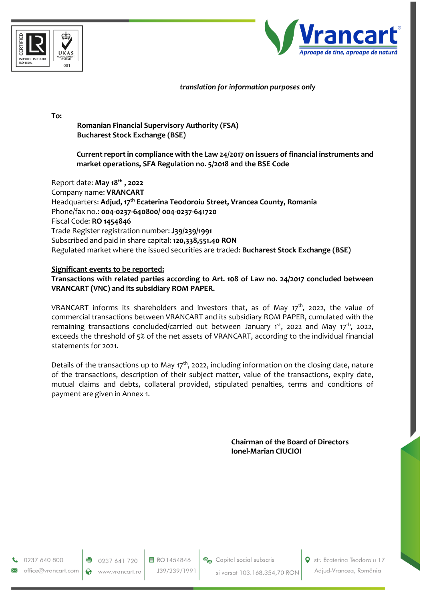



## *translation for information purposes only*

**To:** 

**Romanian Financial Supervisory Authority (FSA) Bucharest Stock Exchange (BSE)** 

**Current report in compliance with the Law 24/2017 on issuers of financial instruments and market operations, SFA Regulation no. 5/2018 and the BSE Code** 

Report date: **May 18 th , 2022** Company name: **VRANCART** Headquarters: **Adjud, 17th Ecaterina Teodoroiu Street, Vrancea County, Romania** Phone/fax no.: **004-0237-640800/ 004-0237-641720** Fiscal Code: **RO 1454846** Trade Register registration number: **J39/239/1991** Subscribed and paid in share capital: **120,338,551.40 RON** Regulated market where the issued securities are traded: **Bucharest Stock Exchange (BSE)**

## **Significant events to be reported:**

**Transactions with related parties according to Art. 108 of Law no. 24/2017 concluded between VRANCART (VNC) and its subsidiary ROM PAPER.**

VRANCART informs its shareholders and investors that, as of May 17<sup>th</sup>, 2022, the value of commercial transactions between VRANCART and its subsidiary ROM PAPER, cumulated with the remaining transactions concluded/carried out between January 1<sup>st</sup>, 2022 and May 17<sup>th</sup>, 2022, exceeds the threshold of 5% of the net assets of VRANCART, according to the individual financial statements for 2021.

Details of the transactions up to May  $17<sup>th</sup>$ , 2022, including information on the closing date, nature of the transactions, description of their subject matter, value of the transactions, expiry date, mutual claims and debts, collateral provided, stipulated penalties, terms and conditions of payment are given in Annex 1.

> **Chairman of the Board of Directors Ionel-Marian CIUCIOI**

0237 640 800

office@vrancart.com

0237 641 720 www.vrancart.ro 目 RO1454846 J39/239/1991 **O** str. Ecaterina Teodoroiu 17 Adjud-Vrancea, România